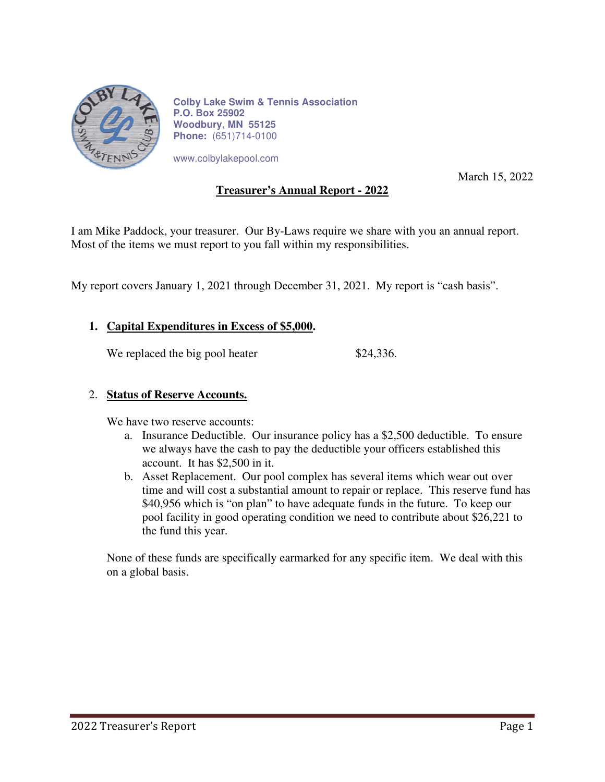

**Colby Lake Swim & Tennis Association P.O. Box 25902 Woodbury, MN 55125 Phone:** (651)714-0100

www.colbylakepool.com

March 15, 2022

## **Treasurer's Annual Report - 2022**

I am Mike Paddock, your treasurer. Our By-Laws require we share with you an annual report. Most of the items we must report to you fall within my responsibilities.

My report covers January 1, 2021 through December 31, 2021. My report is "cash basis".

#### **1. Capital Expenditures in Excess of \$5,000.**

We replaced the big pool heater \$24,336.

#### 2. **Status of Reserve Accounts.**

We have two reserve accounts:

- a. Insurance Deductible. Our insurance policy has a \$2,500 deductible. To ensure we always have the cash to pay the deductible your officers established this account. It has \$2,500 in it.
- b. Asset Replacement. Our pool complex has several items which wear out over time and will cost a substantial amount to repair or replace. This reserve fund has \$40,956 which is "on plan" to have adequate funds in the future. To keep our pool facility in good operating condition we need to contribute about \$26,221 to the fund this year.

None of these funds are specifically earmarked for any specific item. We deal with this on a global basis.